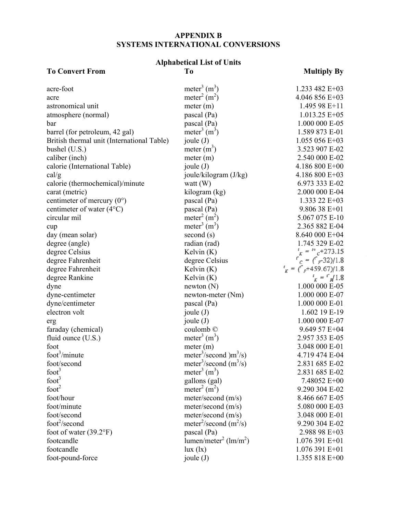# **APPENDIX B SYSTEMS INTERNATIONAL CONVERSIONS**

# **Alphabetical List of Units**

# **To Convert From To To Multiply By**

| acre-foot                                  | meter <sup>3</sup> $(m^3)$                        | 1.233 482 E+03               |
|--------------------------------------------|---------------------------------------------------|------------------------------|
| acre                                       | meter <sup>2</sup> $(m2)$                         | 4.046 856 E+03               |
| astronomical unit                          | meter (m)                                         | 1.495 98 E+11                |
| atmosphere (normal)                        | pascal (Pa)                                       | $1.013.25 E+05$              |
| bar                                        | pascal (Pa)                                       | 1.000 000 E-05               |
| barrel (for petroleum, 42 gal)             | meter <sup>3</sup> $(m3)$                         | 1.589 873 E-01               |
| British thermal unit (International Table) | joule (J)                                         | 1.055 056 E+03               |
| bushel (U.S.)                              | meter $(m^3)$                                     | 3.523 907 E-02               |
| caliber (inch)                             | meter (m)                                         | 2.540 000 E-02               |
| calorie (International Table)              | joule $(J)$                                       | 4.186 800 E+00               |
| cal/g                                      | joule/kilogram (J/kg)                             | 4.186 800 E+03               |
| calorie (thermochemical)/minute            | watt $(W)$                                        | 6.973 333 E-02               |
| carat (metric)                             | kilogram (kg)                                     | 2.000 000 E-04               |
| centimeter of mercury $(0^{\circ})$        | pascal (Pa)                                       | 1.333 22 $E+03$              |
| centimeter of water $(4^{\circ}C)$         | pascal (Pa)                                       | $9.80638 E + 01$             |
| circular mil                               | meter <sup>2</sup> $(m2)$                         | 5.067 075 E-10               |
| cup                                        | meter <sup>3</sup> $(m^3)$                        | 2.365 882 E-04               |
| day (mean solar)                           | second(s)                                         | 8.640 000 E+04               |
| degree (angle)                             | radian (rad)                                      | 1.745 329 E-02               |
| degree Celsius                             | Kelvin $(K)$                                      | $I_K = {}^{10}C + 273.15$    |
| degree Fahrenheit                          | degree Celsius                                    | $r_c = (r - 32)/1.8$         |
| degree Fahrenheit                          | Kelvin $(K)$                                      | $i_{K} = {i_{F}+459.67}/1.8$ |
| degree Rankine                             | Kelvin $(K)$                                      | $i_{K} = i^{2}/1.8$          |
| dyne                                       | newton(N)                                         | 1.000 000 E-05               |
| dyne-centimeter                            | newton-meter (Nm)                                 | 1.000 000 E-07               |
| dyne/centimeter                            | pascal (Pa)                                       | 1.000 000 E-01               |
| electron volt                              | joule $(J)$                                       | 1.602 19 E-19                |
| erg                                        | joule $(J)$                                       | 1.000 000 E-07               |
| faraday (chemical)                         | coulomb ©                                         | 9.649 57 E+04                |
| fluid ounce $(U.S.)$                       | meter <sup>3</sup> $(m3)$                         | 2.957 353 E-05               |
| foot                                       | meter (m)                                         | 3.048 000 E-01               |
| foot $\frac{3}{m}$ inute                   | meter <sup>3</sup> /second $\text{)m}^3\text{/s}$ | 4.719 474 E-04               |
| foot/second                                | meter <sup>3</sup> /second $(m^3/s)$              | 2.831 685 E-02               |
| foot <sup>3</sup>                          | meter <sup>3</sup> $(m^3)$                        | 2.831 685 E-02               |
| foot <sup>3</sup>                          | gallons (gal)                                     | 7.48052 E+00                 |
| foot <sup>2</sup>                          | meter <sup>2</sup> (m <sup>2</sup> )              | 9.290 304 E-02               |
| foot/hour                                  | meter/second (m/s)                                | 8.466 667 E-05               |
| foot/minute                                | $meter/second$ (m/s)                              | 5.080 000 E-03               |
| foot/second                                | meter/second (m/s)                                | 3.048 000 E-01               |
| foot <sup>2</sup> /second                  | meter <sup>2</sup> /second $(m^2/s)$              | 9.290 304 E-02               |
| foot of water $(39.2^{\circ}F)$            | pascal (Pa)                                       | 2.988 98 E+03                |
| footcandle                                 | lumen/meter <sup>2</sup> (lm/m <sup>2</sup> )     | 1.076 391 E+01               |
| footcandle                                 | lux (lx)                                          | $1.076$ 391 E+01             |
| foot-pound-force                           | joule (J)                                         | 1.355 818 E+00               |
|                                            |                                                   |                              |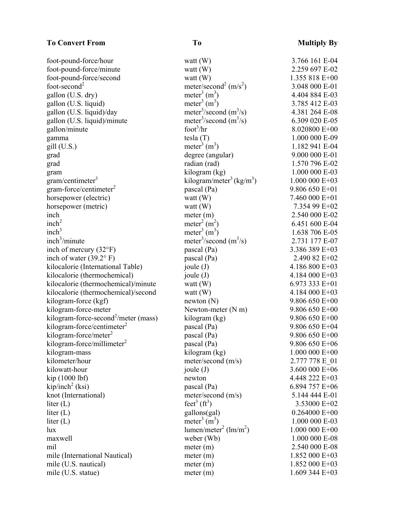### **To Convert From To To Multiply By**

foot-second<sup>2</sup>  $meter/second<sup>2</sup> (m/s<sup>2</sup>)$ gallon  $(U.S.$  dry) gallon (U.S. liquid) gallon  $(U.S.$  liquid)/day gallon  $(U.S.$  liquid)/minute  $\text{gallon/minute}$  foot<sup>3</sup>/hr gill  $(U.S.)$  $gram/c$ entimeter<sup>3</sup>  $gram-force/centimeter<sup>2</sup>$  $inch<sup>2</sup>$  $\text{meter}^2 \text{ (m}^2$  $inch<sup>3</sup>$  $\text{meter}^3 \text{ (m}^3)$  $\text{inch}^3/\text{minute}$  meter<sup>3</sup> kilogram-force-second<sup>2</sup>/meter (mass) kilogram-force/centimeter $2$ kilogram-force/meter $2$ kilogram-force/millimeter $2$  $kip/inch<sup>2</sup>$  (ksi) liter  $(L)$ liter $(L)$  $\text{lumen/meter}^2 \text{ (lm/m}^2)$ 

foot-pound-force/hour watt (W) 3.766 161 E-04 foot-pound-force/minute watt (W) 2.259 697 E-02 foot-pound-force/second watt (W) 1.355 818 E+00 ) 3.048 000 E-01 meter<sup>3</sup>  $(m<sup>3</sup>)$ ) 4.404 884 E-03 meter<sup>3</sup>  $(m<sup>3</sup>)$ ) 3.785 412 E-03 meter<sup>3</sup>/second  $(m^3/s)$ /s) 4.381 264 E-08 meter<sup>3</sup>/second  $(m^3/s)$ 6.309 020 E-05 8.020800 E+00 gamma tesla (T) 1.000 000 E-09 meter<sup>3</sup>  $(m<sup>3</sup>)$ ) 1.182 941 E-04 grad degree (angular) 9.000 000 E-01 grad radian (rad) 1.570 796 E-02 gram kilogram (kg) 1.000 000 E-03 kilogram/meter<sup>3</sup> (kg/m<sup>3</sup>) ) 1.000 000 E+03 pascal (Pa) 9.806 650 E+01 horsepower (electric) watt (W) 7.460 000 E+01 horsepower (metric) watt (W) 7.354 99 E+02 inch meter (m) 2.540 000 E-02 ) 6.451 600 E-04 ) 1.638 706 E-05 meter<sup>3</sup>/second  $(m^3/s)$ 2.731 177 E-07 inch of mercury  $(32^{\circ}F)$  pascal (Pa) 3.386 389 E+03 inch of water  $(39.2^{\circ} \text{ F})$  pascal (Pa)  $2.490\ 82 \text{ F} + 02$ kilocalorie (International Table) joule (J) 4.186 800 E+03 kilocalorie (thermochemical) joule (J)  $4.184\ 000\text{ E}+03$ kilocalorie (thermochemical)/minute watt (W) 6.973 333 E+01 kilocalorie (thermochemical)/second watt (W) 4.184 000 E+03 kilogram-force (kgf)  $\qquad \qquad$  newton (N)  $\qquad \qquad$  9.806 650 E+00 kilogram-force-meter  $N$ ewton-meter  $(N \text{ m})$  9.806 650 E+00  $kilogram (kg)$  9.806 650 E+00 pascal (Pa) 9.806 650 E+04 pascal (Pa) 9.806 650 E+00 pascal (Pa) 9.806 650 E+06 kilogram-mass kilogram (kg) 1.000 000 E+00 kilometer/hour meter/second (m/s) 2.777 778 E\_01 kilowatt-hour  $j$  ioule (J)  $3.600\ 000\ E+06$  $\frac{\text{kip}}{1000 \text{ lb}}$  1000 lbf) newton 4.448 222 E+03 pascal (Pa) 6.894 757 E+06 knot (International) meter/second (m/s) 5.144 444 E-01 feet<sup>3</sup>  $(ft^3)$ ) 3.53000 E+02  $\text{line (L)}$  gallons(gal) 0.264000 E+00 meter<sup>3</sup>  $(m<sup>3</sup>)$ ) 1.000 000 E-03 ) 1.000 000 E+00 maxwell weber (Wb) 1.000 000 E-08 mil meter (m) 2.540 000 E-08 mile (International Nautical) meter (m) 1.852 000 E+03 mile (U.S. nautical) meter (m) 1.852 000 E+03 mile (U.S. statue) meter (m) 1.609 344 E+03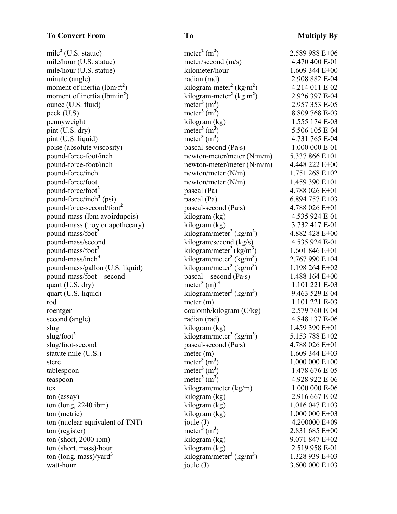### **To Convert From To To Multiply By**

| mile <sup>2</sup> (U.S. statue)                  | meter <sup>2</sup> $(m2)$                        | 2.589 988 E+06   |
|--------------------------------------------------|--------------------------------------------------|------------------|
| mile/hour (U.S. statue)                          | meter/second (m/s)                               | 4.470 400 E-01   |
| mile/hour (U.S. statue)                          | kilometer/hour                                   | 1.609 344 E+00   |
| minute (angle)                                   | radian (rad)                                     | 2.908 882 E-04   |
| moment of inertia (lbm $\cdot$ ft <sup>2</sup> ) | kilogram-meter <sup>2</sup> (kg·m <sup>2</sup> ) | 4.214 011 E-02   |
| moment of inertia (lbm $\cdot$ in <sup>2</sup> ) | kilogram-meter <sup>2</sup> (kg m <sup>2</sup> ) | 2.926 397 E-04   |
| ounce (U.S. fluid)                               | meter <sup>3</sup> $(m3)$                        | 2.957 353 E-05   |
| peck (U.S)                                       | meter <sup>3</sup> $(m3)$                        | 8.809 768 E-03   |
| pennyweight                                      | kilogram (kg)                                    | 1.555 174 E-03   |
| pint (U.S. dry)                                  | meter <sup>3</sup> $(m3)$                        | 5.506 105 E-04   |
| pint (U.S. liquid)                               | meter <sup>3</sup> $(m3)$                        | 4.731 765 E-04   |
| poise (absolute viscosity)                       | pascal-second (Pa·s)                             | 1.000 000 E-01   |
| pound-force-foot/inch                            | newton-meter/meter $(N \cdot m/m)$               | 5.337 866 E+01   |
| pound-force-foot/inch                            | newton-meter/meter $(N \cdot m/m)$               | 4.448 222 E+00   |
| pound-force/inch                                 | newton/meter $(N/m)$                             | 1.751 268 E+02   |
| pound-force/foot                                 | newton/meter $(N/m)$                             | 1.459 390 E+01   |
| pound-force/foot <sup>2</sup>                    | pascal (Pa)                                      | 4.788 026 E+01   |
| pound-force/inch <sup>2</sup> (psi)              | pascal (Pa)                                      | 6.894 757 E+03   |
| pound-force-second/foot <sup>2</sup>             | pascal-second (Pa·s)                             | 4.788 026 E+01   |
| pound-mass (lbm avoirdupois)                     | kilogram (kg)                                    | 4.535 924 E-01   |
| pound-mass (troy or apothecary)                  | kilogram (kg)                                    | 3.732 417 E-01   |
| pound-mass/foot <sup>2</sup>                     | kilogram/meter <sup>2</sup> (kg/m <sup>2</sup> ) | 4.882 428 E+00   |
| pound-mass/second                                | kilogram/second (kg/s)                           | 4.535 924 E-01   |
| pound-mass/foot <sup>3</sup>                     | kilogram/meter <sup>3</sup> (kg/m <sup>3</sup> ) | 1.601 846 $E+01$ |
| pound-mass/inch <sup>3</sup>                     | kilogram/meter <sup>3</sup> (kg/m <sup>3</sup> ) | 2.767 990 E+04   |
| pound-mass/gallon (U.S. liquid)                  | kilogram/meter <sup>3</sup> (kg/m <sup>3</sup> ) | 1.198 264 E+02   |
| pound-mass/foot – second                         | $pascal - second (Pa·s)$                         | 1.488 164 E+00   |
| quart (U.S. dry)                                 | meter <sup>3</sup> (m) <sup>3</sup>              | 1.101 221 E-03   |
| quart (U.S. liquid)                              | kilogram/meter <sup>3</sup> (kg/m <sup>3</sup> ) | 9.463 529 E-04   |
| rod                                              | meter (m)                                        | 1.101 221 E-03   |
| roentgen                                         | coulomb/kilogram (C/kg)                          | 2.579 760 E-04   |
| second (angle)                                   | radian (rad)                                     | 4.848 137 E-06   |
| slug                                             | kilogram (kg)                                    | 1.459 390 E+01   |
| slug/foot <sup>2</sup>                           | kilogram/meter <sup>3</sup> (kg/m <sup>3</sup> ) | 5.153 788 E+02   |
| slug/foot-second                                 | pascal-second $(Pa \cdot s)$                     | 4.788 026 E+01   |
| statute mile (U.S.)                              | meter (m)                                        | $1.609$ 344 E+03 |
| stere                                            | meter <sup>3</sup> $(m3)$                        | $1.000000E+00$   |
| tablespoon                                       | meter <sup>3</sup> $(m3)$                        | 1.478 676 E-05   |
| teaspoon                                         | meter <sup>3</sup> $(m3)$                        | 4.928 922 E-06   |
| tex                                              | kilogram/meter (kg/m)                            | 1.000 000 E-06   |
| ton (assay)                                      | kilogram (kg)                                    | 2.916 667 E-02   |
| ton (long, $2240$ ibm)                           | kilogram (kg)                                    | $1.016047 E+03$  |
| ton (metric)                                     | kilogram (kg)                                    | $1.000000E+03$   |
| ton (nuclear equivalent of TNT)                  | joule $(J)$                                      | 4.200000 E+09    |
| ton (register)                                   | meter <sup>3</sup> $(m3)$                        | 2.831 685 E+00   |
| ton (short, $2000$ ibm)                          | kilogram (kg)                                    | 9.071 847 E+02   |
| ton (short, mass)/hour                           | kilogram (kg)                                    | 2.519 958 E-01   |
| ton (long, mass)/yard <sup>3</sup>               | kilogram/meter <sup>3</sup> (kg/m <sup>3</sup> ) | 1.328 939 E+03   |
| watt-hour                                        | joule $(J)$                                      | 3.600 000 E+03   |